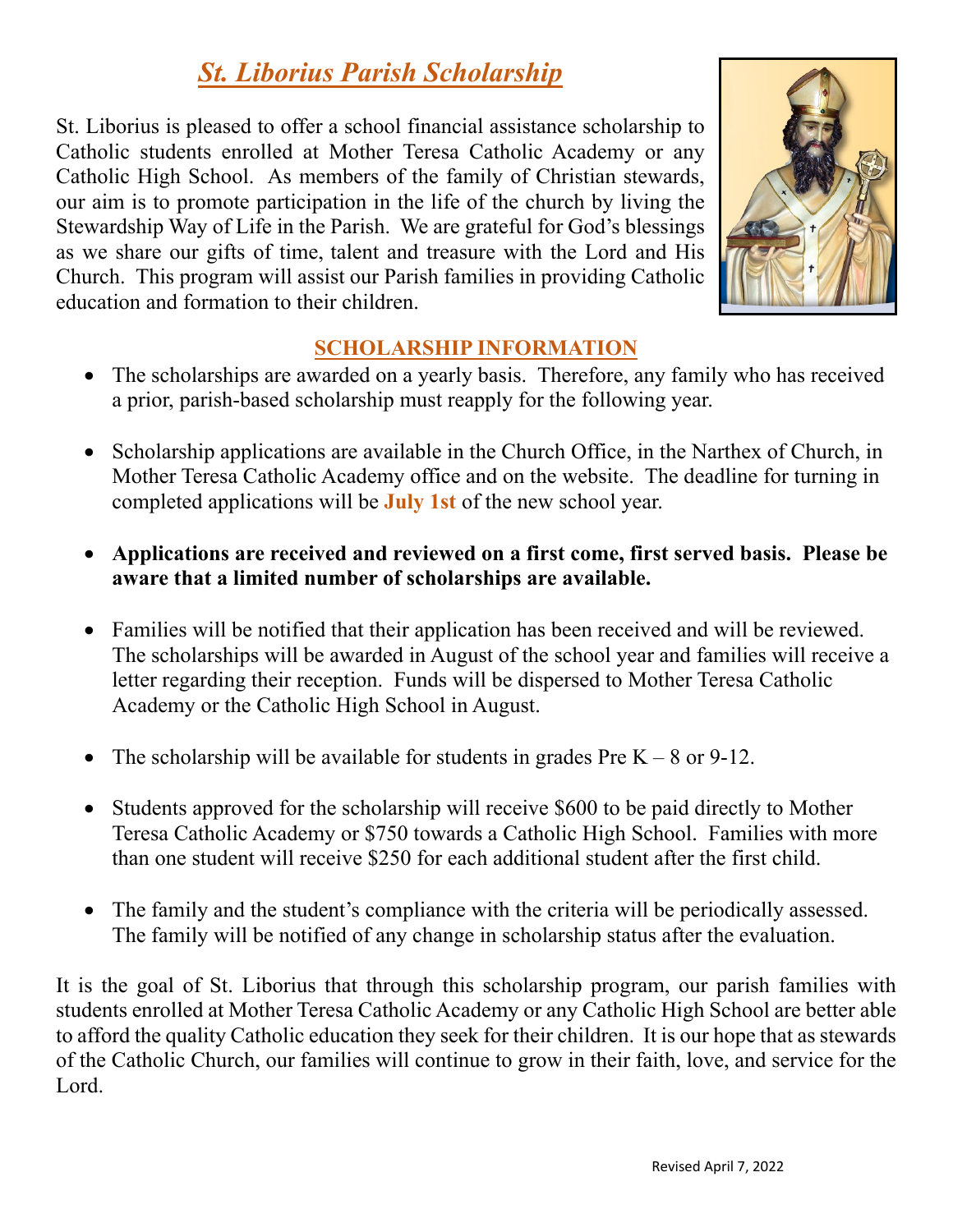# *St. Liborius Parish Scholarship*

St. Liborius is pleased to offer a school financial assistance scholarship to Catholic students enrolled at Mother Teresa Catholic Academy or any Catholic High School. As members of the family of Christian stewards, our aim is to promote participation in the life of the church by living the Stewardship Way of Life in the Parish. We are grateful for God's blessings as we share our gifts of time, talent and treasure with the Lord and His Church. This program will assist our Parish families in providing Catholic education and formation to their children.



## **SCHOLARSHIP INFORMATION**

- The scholarships are awarded on a yearly basis. Therefore, any family who has received a prior, parish-based scholarship must reapply for the following year.
- Scholarship applications are available in the Church Office, in the Narthex of Church, in Mother Teresa Catholic Academy office and on the website. The deadline for turning in completed applications will be **July 1st** of the new school year.
- **Applications are received and reviewed on a first come, first served basis. Please be aware that a limited number of scholarships are available.**
- Families will be notified that their application has been received and will be reviewed. The scholarships will be awarded in August of the school year and families will receive a letter regarding their reception. Funds will be dispersed to Mother Teresa Catholic Academy or the Catholic High School in August.
- The scholarship will be available for students in grades Pre  $K 8$  or 9-12.
- Students approved for the scholarship will receive \$600 to be paid directly to Mother Teresa Catholic Academy or \$750 towards a Catholic High School. Families with more than one student will receive \$250 for each additional student after the first child.
- The family and the student's compliance with the criteria will be periodically assessed. The family will be notified of any change in scholarship status after the evaluation.

It is the goal of St. Liborius that through this scholarship program, our parish families with students enrolled at Mother Teresa Catholic Academy or any Catholic High School are better able to afford the quality Catholic education they seek for their children. It is our hope that as stewards of the Catholic Church, our families will continue to grow in their faith, love, and service for the Lord.